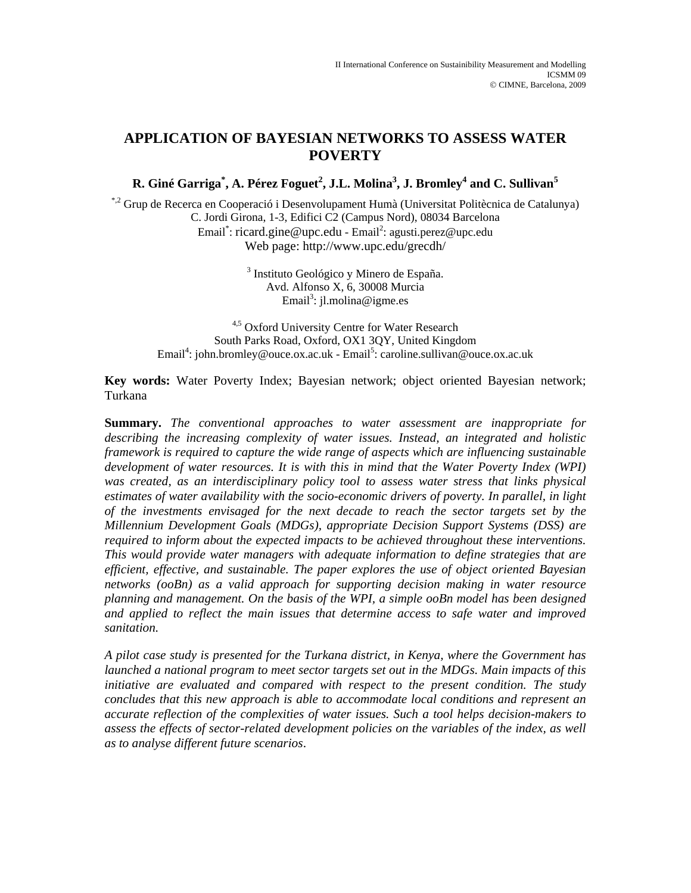# **APPLICATION OF BAYESIAN NETWORKS TO ASSESS WATER POVERTY**

**R. Giné Garriga\* , A. Pérez Foguet<sup>2</sup> , J.L. Molina3 , J. Bromley4 and C. Sullivan<sup>5</sup>**

\*,2 Grup de Recerca en Cooperació i Desenvolupament Humà (Universitat Politècnica de Catalunya) C. Jordi Girona, 1-3, Edifici C2 (Campus Nord), 08034 Barcelona Email<sup>\*</sup>: ricard.gine@upc.edu - Email<sup>2</sup>: agusti.perez@upc.edu Web page: http://www.upc.edu/grecdh/

> 3 Instituto Geológico y Minero de España. Avd. Alfonso X, 6, 30008 Murcia Email<sup>3</sup>: jl.molina@igme.es

4,5 Oxford University Centre for Water Research South Parks Road, Oxford, OX1 3QY, United Kingdom Email<sup>4</sup>: john.bromley@ouce.ox.ac.uk - Email<sup>5</sup>: caroline.sullivan@ouce.ox.ac.uk

**Key words:** Water Poverty Index; Bayesian network; object oriented Bayesian network; Turkana

**Summary.** *The conventional approaches to water assessment are inappropriate for describing the increasing complexity of water issues. Instead, an integrated and holistic framework is required to capture the wide range of aspects which are influencing sustainable development of water resources. It is with this in mind that the Water Poverty Index (WPI) was created, as an interdisciplinary policy tool to assess water stress that links physical estimates of water availability with the socio-economic drivers of poverty. In parallel, in light of the investments envisaged for the next decade to reach the sector targets set by the Millennium Development Goals (MDGs), appropriate Decision Support Systems (DSS) are required to inform about the expected impacts to be achieved throughout these interventions. This would provide water managers with adequate information to define strategies that are efficient, effective, and sustainable. The paper explores the use of object oriented Bayesian networks (ooBn) as a valid approach for supporting decision making in water resource planning and management. On the basis of the WPI, a simple ooBn model has been designed and applied to reflect the main issues that determine access to safe water and improved sanitation.* 

*A pilot case study is presented for the Turkana district, in Kenya, where the Government has launched a national program to meet sector targets set out in the MDGs. Main impacts of this initiative are evaluated and compared with respect to the present condition. The study concludes that this new approach is able to accommodate local conditions and represent an accurate reflection of the complexities of water issues. Such a tool helps decision-makers to assess the effects of sector-related development policies on the variables of the index, as well as to analyse different future scenarios*.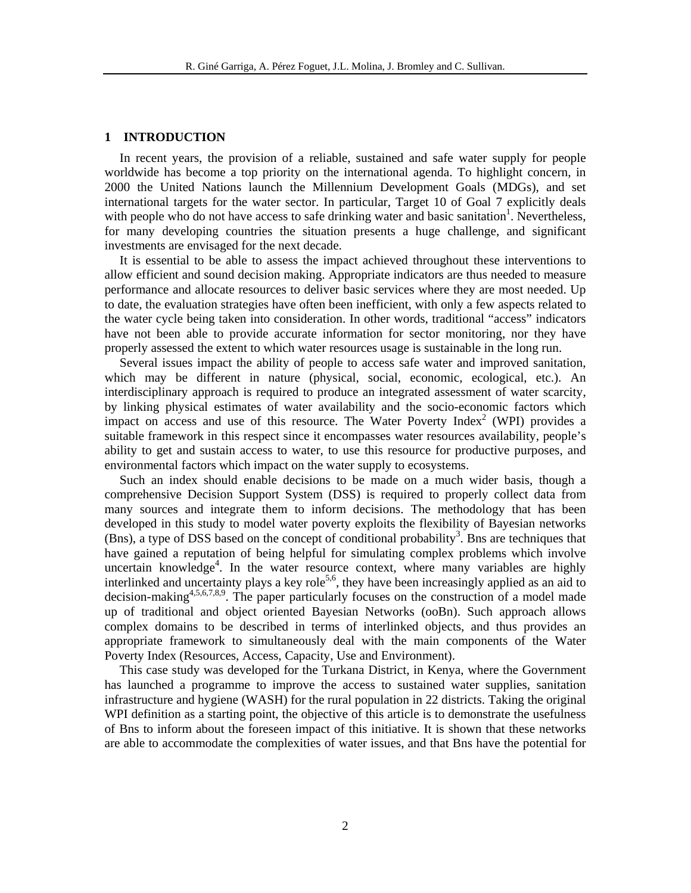## **1 INTRODUCTION**

In recent years, the provision of a reliable, sustained and safe water supply for people worldwide has become a top priority on the international agenda. To highlight concern, in 2000 the United Nations launch the Millennium Development Goals (MDGs), and set international targets for the water sector. In particular, Target 10 of Goal 7 explicitly deals with people who do not have access to safe drinking water and basic sanitation<sup>1</sup>. Nevertheless, for many developing countries the situation presents a huge challenge, and significant investments are envisaged for the next decade.

It is essential to be able to assess the impact achieved throughout these interventions to allow efficient and sound decision making. Appropriate indicators are thus needed to measure performance and allocate resources to deliver basic services where they are most needed. Up to date, the evaluation strategies have often been inefficient, with only a few aspects related to the water cycle being taken into consideration. In other words, traditional "access" indicators have not been able to provide accurate information for sector monitoring, nor they have properly assessed the extent to which water resources usage is sustainable in the long run.

Several issues impact the ability of people to access safe water and improved sanitation, which may be different in nature (physical, social, economic, ecological, etc.). An interdisciplinary approach is required to produce an integrated assessment of water scarcity, by linking physical estimates of water availability and the socio-economic factors which impact on access and use of this resource. The Water Poverty Index<sup>2</sup> (WPI) provides a suitable framework in this respect since it encompasses water resources availability, people's ability to get and sustain access to water, to use this resource for productive purposes, and environmental factors which impact on the water supply to ecosystems.

Such an index should enable decisions to be made on a much wider basis, though a comprehensive Decision Support System (DSS) is required to properly collect data from many sources and integrate them to inform decisions. The methodology that has been developed in this study to model water poverty exploits the flexibility of Bayesian networks (Bns), a type of DSS based on the concept of conditional probability<sup>3</sup>. Bns are techniques that have gained a reputation of being helpful for simulating complex problems which involve uncertain knowledge<sup>4</sup>. In the water resource context, where many variables are highly interlinked and uncertainty plays a key role<sup>5,6</sup>, they have been increasingly applied as an aid to decision-making<sup>4,5,6,7,8,9</sup>. The paper particularly focuses on the construction of a model made up of traditional and object oriented Bayesian Networks (ooBn). Such approach allows complex domains to be described in terms of interlinked objects, and thus provides an appropriate framework to simultaneously deal with the main components of the Water Poverty Index (Resources, Access, Capacity, Use and Environment).

This case study was developed for the Turkana District, in Kenya, where the Government has launched a programme to improve the access to sustained water supplies, sanitation infrastructure and hygiene (WASH) for the rural population in 22 districts. Taking the original WPI definition as a starting point, the objective of this article is to demonstrate the usefulness of Bns to inform about the foreseen impact of this initiative. It is shown that these networks are able to accommodate the complexities of water issues, and that Bns have the potential for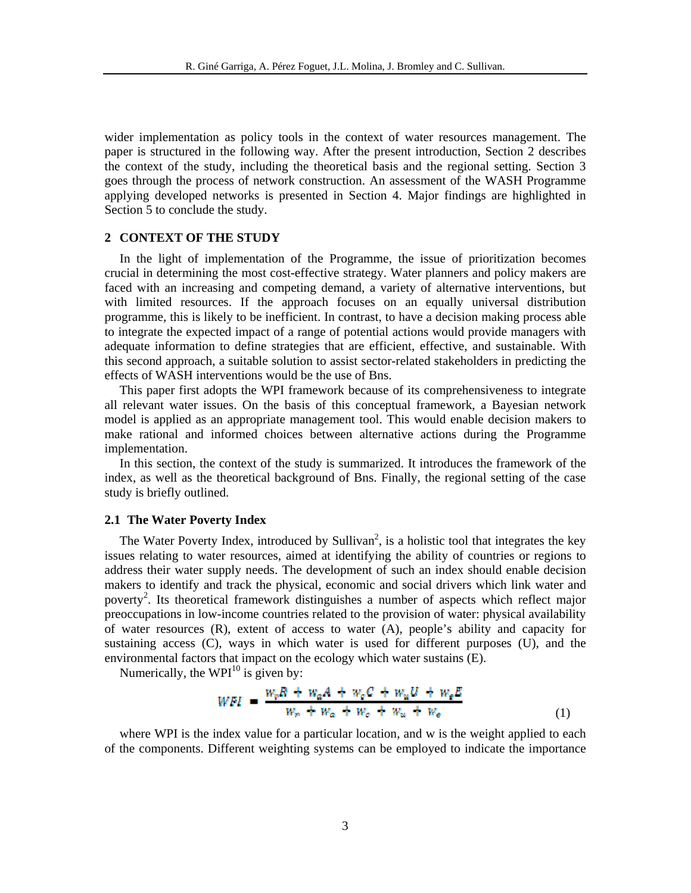wider implementation as policy tools in the context of water resources management. The paper is structured in the following way. After the present introduction, Section 2 describes the context of the study, including the theoretical basis and the regional setting. Section 3 goes through the process of network construction. An assessment of the WASH Programme applying developed networks is presented in Section 4. Major findings are highlighted in Section 5 to conclude the study.

### **2 CONTEXT OF THE STUDY**

In the light of implementation of the Programme, the issue of prioritization becomes crucial in determining the most cost-effective strategy. Water planners and policy makers are faced with an increasing and competing demand, a variety of alternative interventions, but with limited resources. If the approach focuses on an equally universal distribution programme, this is likely to be inefficient. In contrast, to have a decision making process able to integrate the expected impact of a range of potential actions would provide managers with adequate information to define strategies that are efficient, effective, and sustainable. With this second approach, a suitable solution to assist sector-related stakeholders in predicting the effects of WASH interventions would be the use of Bns.

This paper first adopts the WPI framework because of its comprehensiveness to integrate all relevant water issues. On the basis of this conceptual framework, a Bayesian network model is applied as an appropriate management tool. This would enable decision makers to make rational and informed choices between alternative actions during the Programme implementation.

In this section, the context of the study is summarized. It introduces the framework of the index, as well as the theoretical background of Bns. Finally, the regional setting of the case study is briefly outlined.

## **2.1 The Water Poverty Index**

The Water Poverty Index, introduced by Sullivan<sup>2</sup>, is a holistic tool that integrates the key issues relating to water resources, aimed at identifying the ability of countries or regions to address their water supply needs. The development of such an index should enable decision makers to identify and track the physical, economic and social drivers which link water and poverty<sup>2</sup>. Its theoretical framework distinguishes a number of aspects which reflect major preoccupations in low-income countries related to the provision of water: physical availability of water resources (R), extent of access to water (A), people's ability and capacity for sustaining access (C), ways in which water is used for different purposes (U), and the environmental factors that impact on the ecology which water sustains (E).

Numerically, the WPI $^{10}$  is given by:

$$
WFI = \frac{w_r R + w_a A + w_c C + w_u U + w_e E}{w_r + w_a + w_c + w_u + w_e}
$$
(1)

where WPI is the index value for a particular location, and w is the weight applied to each of the components. Different weighting systems can be employed to indicate the importance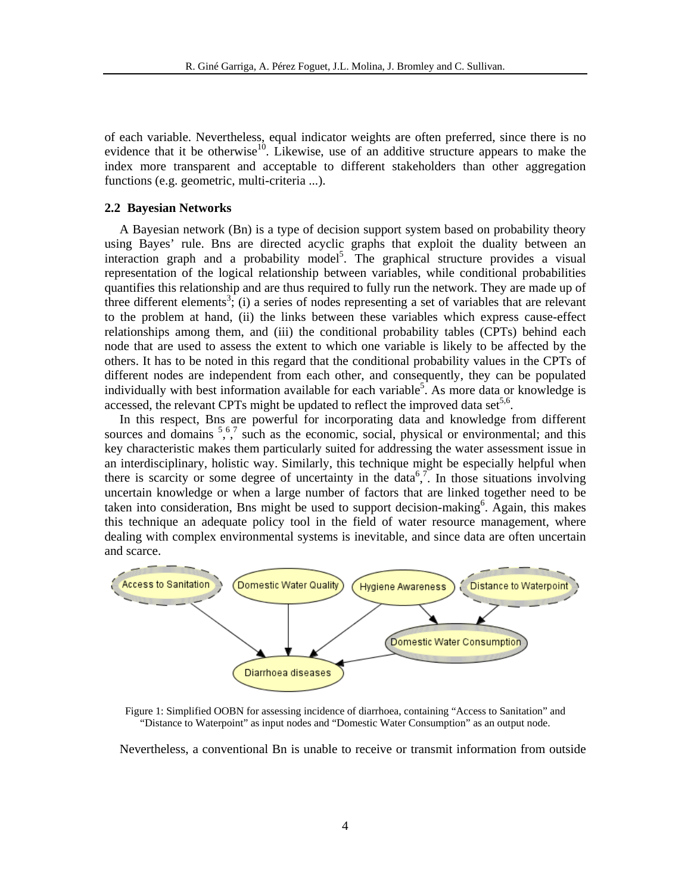of each variable. Nevertheless, equal indicator weights are often preferred, since there is no evidence that it be otherwise<sup>10</sup>. Likewise, use of an additive structure appears to make the index more transparent and acceptable to different stakeholders than other aggregation functions (e.g. geometric, multi-criteria ...).

## **2.2 Bayesian Networks**

A Bayesian network (Bn) is a type of decision support system based on probability theory using Bayes' rule. Bns are directed acyclic graphs that exploit the duality between an interaction graph and a probability model<sup>5</sup>. The graphical structure provides a visual representation of the logical relationship between variables, while conditional probabilities quantifies this relationship and are thus required to fully run the network. They are made up of three different elements<sup>3</sup>; (i) a series of nodes representing a set of variables that are relevant to the problem at hand, (ii) the links between these variables which express cause-effect relationships among them, and (iii) the conditional probability tables (CPTs) behind each node that are used to assess the extent to which one variable is likely to be affected by the others. It has to be noted in this regard that the conditional probability values in the CPTs of different nodes are independent from each other, and consequently, they can be populated individually with best information available for each variable<sup>5</sup>. As more data or knowledge is accessed, the relevant CPTs might be updated to reflect the improved data set<sup>5,6</sup>.

In this respect, Bns are powerful for incorporating data and knowledge from different sources and domains  $5, 6, 7$  such as the economic, social, physical or environmental; and this key characteristic makes them particularly suited for addressing the water assessment issue in an interdisciplinary, holistic way. Similarly, this technique might be especially helpful when there is scarcity or some degree of uncertainty in the data<sup>6,7</sup>. In those situations involving uncertain knowledge or when a large number of factors that are linked together need to be taken into consideration, Bns might be used to support decision-making<sup>6</sup>. Again, this makes this technique an adequate policy tool in the field of water resource management, where dealing with complex environmental systems is inevitable, and since data are often uncertain and scarce.



Figure 1: Simplified OOBN for assessing incidence of diarrhoea, containing "Access to Sanitation" and "Distance to Waterpoint" as input nodes and "Domestic Water Consumption" as an output node.

Nevertheless, a conventional Bn is unable to receive or transmit information from outside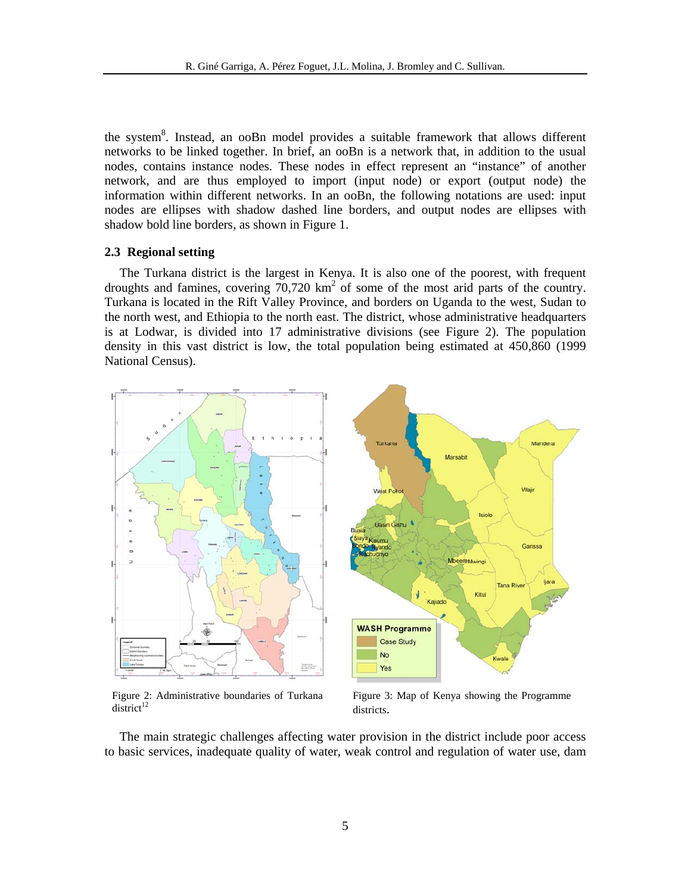the system<sup>8</sup>. Instead, an ooBn model provides a suitable framework that allows different networks to be linked together. In brief, an ooBn is a network that, in addition to the usual nodes, contains instance nodes. These nodes in effect represent an "instance" of another network, and are thus employed to import (input node) or export (output node) the information within different networks. In an ooBn, the following notations are used: input nodes are ellipses with shadow dashed line borders, and output nodes are ellipses with shadow bold line borders, as shown in Figure 1.

### **2.3 Regional setting**

The Turkana district is the largest in Kenya. It is also one of the poorest, with frequent droughts and famines, covering  $70,720 \text{ km}^2$  of some of the most arid parts of the country. Turkana is located in the Rift Valley Province, and borders on Uganda to the west, Sudan to the north west, and Ethiopia to the north east. The district, whose administrative headquarters is at Lodwar, is divided into 17 administrative divisions (see Figure 2). The population density in this vast district is low, the total population being estimated at 450,860 (1999 National Census).



Figure 2: Administrative boundaries of Turkana  $district^{12}$ 

Figure 3: Map of Kenya showing the Programme districts.

The main strategic challenges affecting water provision in the district include poor access to basic services, inadequate quality of water, weak control and regulation of water use, dam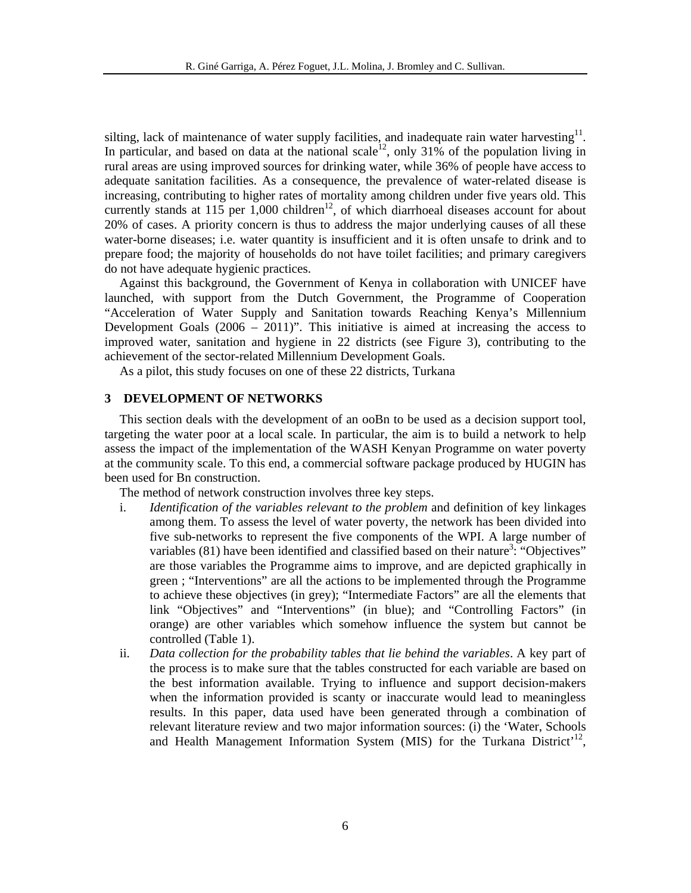silting, lack of maintenance of water supply facilities, and inadequate rain water harvesting<sup>11</sup>. In particular, and based on data at the national scale<sup>12</sup>, only 31% of the population living in rural areas are using improved sources for drinking water, while 36% of people have access to adequate sanitation facilities. As a consequence, the prevalence of water-related disease is increasing, contributing to higher rates of mortality among children under five years old. This currently stands at 115 per  $1,000$  children<sup>12</sup>, of which diarrhoeal diseases account for about 20% of cases. A priority concern is thus to address the major underlying causes of all these water-borne diseases; i.e. water quantity is insufficient and it is often unsafe to drink and to prepare food; the majority of households do not have toilet facilities; and primary caregivers do not have adequate hygienic practices.

Against this background, the Government of Kenya in collaboration with UNICEF have launched, with support from the Dutch Government, the Programme of Cooperation "Acceleration of Water Supply and Sanitation towards Reaching Kenya's Millennium Development Goals (2006 – 2011)". This initiative is aimed at increasing the access to improved water, sanitation and hygiene in 22 districts (see Figure 3), contributing to the achievement of the sector-related Millennium Development Goals.

As a pilot, this study focuses on one of these 22 districts, Turkana

# **3 DEVELOPMENT OF NETWORKS**

This section deals with the development of an ooBn to be used as a decision support tool, targeting the water poor at a local scale. In particular, the aim is to build a network to help assess the impact of the implementation of the WASH Kenyan Programme on water poverty at the community scale. To this end, a commercial software package produced by HUGIN has been used for Bn construction.

The method of network construction involves three key steps.

- i. *Identification of the variables relevant to the problem* and definition of key linkages among them. To assess the level of water poverty, the network has been divided into five sub-networks to represent the five components of the WPI. A large number of variables  $(81)$  have been identified and classified based on their nature<sup>3</sup>: "Objectives" are those variables the Programme aims to improve, and are depicted graphically in green ; "Interventions" are all the actions to be implemented through the Programme to achieve these objectives (in grey); "Intermediate Factors" are all the elements that link "Objectives" and "Interventions" (in blue); and "Controlling Factors" (in orange) are other variables which somehow influence the system but cannot be controlled (Table 1).
- ii. *Data collection for the probability tables that lie behind the variables*. A key part of the process is to make sure that the tables constructed for each variable are based on the best information available. Trying to influence and support decision-makers when the information provided is scanty or inaccurate would lead to meaningless results. In this paper, data used have been generated through a combination of relevant literature review and two major information sources: (i) the 'Water, Schools and Health Management Information System (MIS) for the Turkana District<sup>'12</sup>,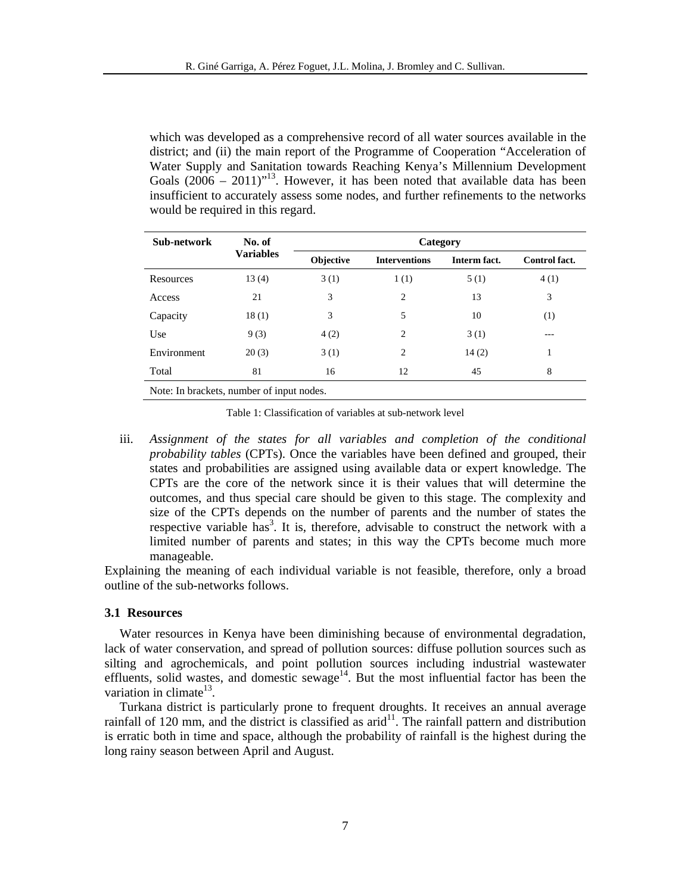which was developed as a comprehensive record of all water sources available in the district; and (ii) the main report of the Programme of Cooperation "Acceleration of Water Supply and Sanitation towards Reaching Kenya's Millennium Development Goals  $(2006 - 2011)^{13}$ . However, it has been noted that available data has been insufficient to accurately assess some nodes, and further refinements to the networks would be required in this regard.

| Sub-network                               | No. of<br><b>Variables</b> | Category  |                      |              |                      |  |
|-------------------------------------------|----------------------------|-----------|----------------------|--------------|----------------------|--|
|                                           |                            | Objective | <b>Interventions</b> | Interm fact. | <b>Control fact.</b> |  |
| Resources                                 | 13(4)                      | 3(1)      | 1(1)                 | 5(1)         | 4(1)                 |  |
| Access                                    | 21                         | 3         | $\overline{c}$       | 13           | 3                    |  |
| Capacity                                  | 18(1)                      | 3         | 5                    | 10           | (1)                  |  |
| Use                                       | 9(3)                       | 4(2)      | 2                    | 3(1)         | $- - -$              |  |
| Environment                               | 20(3)                      | 3(1)      | 2                    | 14(2)        | 1                    |  |
| Total                                     | 81                         | 16        | 12                   | 45           | 8                    |  |
| Note: In brackets, number of input nodes. |                            |           |                      |              |                      |  |

Table 1: Classification of variables at sub-network level

iii. Assignment of the states for all variables and completion of the conditional *probability tables* (CPTs). Once the variables have been defined and grouped, their states and probabilities are assigned using available data or expert knowledge. The CPTs are the core of the network since it is their values that will determine the outcomes, and thus special care should be given to this stage. The complexity and size of the CPTs depends on the number of parents and the number of states the respective variable has<sup>3</sup>. It is, therefore, advisable to construct the network with a limited number of parents and states; in this way the CPTs become much more manageable.

Explaining the meaning of each individual variable is not feasible, therefore, only a broad outline of the sub-networks follows.

### **3.1 Resources**

Water resources in Kenya have been diminishing because of environmental degradation, lack of water conservation, and spread of pollution sources: diffuse pollution sources such as silting and agrochemicals, and point pollution sources including industrial wastewater effluents, solid wastes, and domestic sewage<sup>14</sup>. But the most influential factor has been the variation in climate<sup>13</sup>.

Turkana district is particularly prone to frequent droughts. It receives an annual average rainfall of 120 mm, and the district is classified as  $arid<sup>11</sup>$ . The rainfall pattern and distribution is erratic both in time and space, although the probability of rainfall is the highest during the long rainy season between April and August.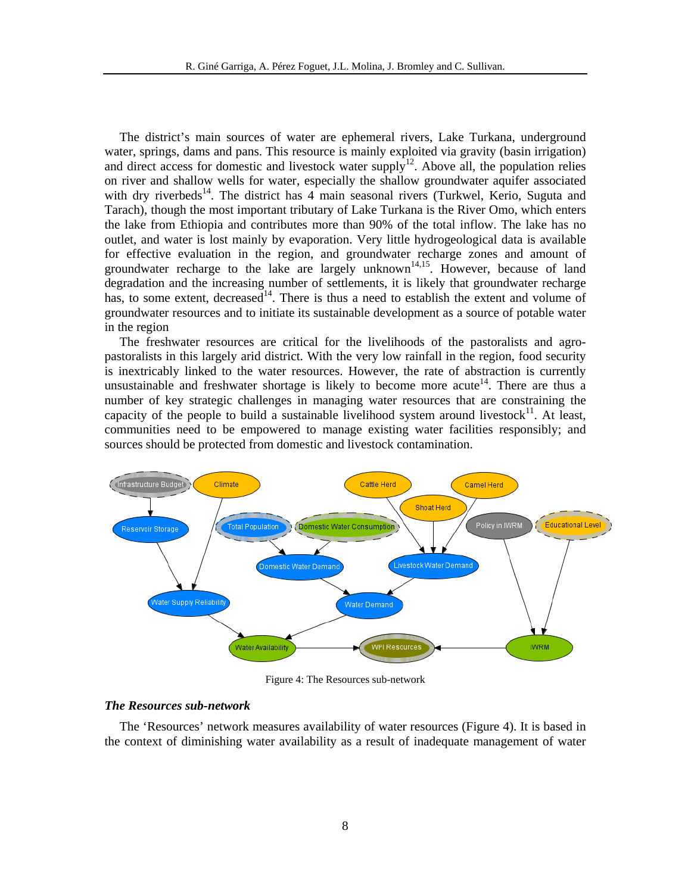The district's main sources of water are ephemeral rivers, Lake Turkana, underground water, springs, dams and pans. This resource is mainly exploited via gravity (basin irrigation) and direct access for domestic and livestock water supply<sup>12</sup>. Above all, the population relies on river and shallow wells for water, especially the shallow groundwater aquifer associated with dry riverbeds<sup>14</sup>. The district has 4 main seasonal rivers (Turkwel, Kerio, Suguta and Tarach), though the most important tributary of Lake Turkana is the River Omo, which enters the lake from Ethiopia and contributes more than 90% of the total inflow. The lake has no outlet, and water is lost mainly by evaporation. Very little hydrogeological data is available for effective evaluation in the region, and groundwater recharge zones and amount of groundwater recharge to the lake are largely unknown<sup>14,15</sup>. However, because of land degradation and the increasing number of settlements, it is likely that groundwater recharge has, to some extent, decreased<sup>14</sup>. There is thus a need to establish the extent and volume of groundwater resources and to initiate its sustainable development as a source of potable water in the region

The freshwater resources are critical for the livelihoods of the pastoralists and agropastoralists in this largely arid district. With the very low rainfall in the region, food security is inextricably linked to the water resources. However, the rate of abstraction is currently unsustainable and freshwater shortage is likely to become more acute<sup>14</sup>. There are thus a number of key strategic challenges in managing water resources that are constraining the capacity of the people to build a sustainable livelihood system around livestock $11$ . At least, communities need to be empowered to manage existing water facilities responsibly; and sources should be protected from domestic and livestock contamination.



Figure 4: The Resources sub-network

# *The Resources sub-network*

The 'Resources' network measures availability of water resources (Figure 4). It is based in the context of diminishing water availability as a result of inadequate management of water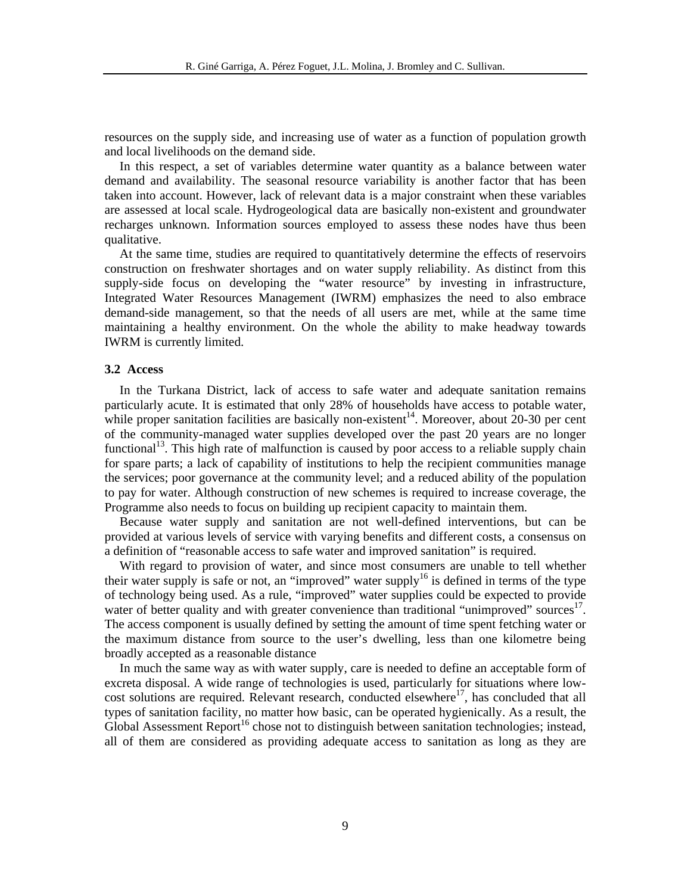resources on the supply side, and increasing use of water as a function of population growth and local livelihoods on the demand side.

In this respect, a set of variables determine water quantity as a balance between water demand and availability. The seasonal resource variability is another factor that has been taken into account. However, lack of relevant data is a major constraint when these variables are assessed at local scale. Hydrogeological data are basically non-existent and groundwater recharges unknown. Information sources employed to assess these nodes have thus been qualitative.

At the same time, studies are required to quantitatively determine the effects of reservoirs construction on freshwater shortages and on water supply reliability. As distinct from this supply-side focus on developing the "water resource" by investing in infrastructure, Integrated Water Resources Management (IWRM) emphasizes the need to also embrace demand-side management, so that the needs of all users are met, while at the same time maintaining a healthy environment. On the whole the ability to make headway towards IWRM is currently limited.

# **3.2 Access**

In the Turkana District, lack of access to safe water and adequate sanitation remains particularly acute. It is estimated that only 28% of households have access to potable water, while proper sanitation facilities are basically non-existent<sup>14</sup>. Moreover, about 20-30 per cent of the community-managed water supplies developed over the past 20 years are no longer functional<sup>13</sup>. This high rate of malfunction is caused by poor access to a reliable supply chain for spare parts; a lack of capability of institutions to help the recipient communities manage the services; poor governance at the community level; and a reduced ability of the population to pay for water. Although construction of new schemes is required to increase coverage, the Programme also needs to focus on building up recipient capacity to maintain them.

Because water supply and sanitation are not well-defined interventions, but can be provided at various levels of service with varying benefits and different costs, a consensus on a definition of "reasonable access to safe water and improved sanitation" is required.

With regard to provision of water, and since most consumers are unable to tell whether their water supply is safe or not, an "improved" water supply<sup>16</sup> is defined in terms of the type of technology being used. As a rule, "improved" water supplies could be expected to provide water of better quality and with greater convenience than traditional "unimproved" sources". The access component is usually defined by setting the amount of time spent fetching water or the maximum distance from source to the user's dwelling, less than one kilometre being broadly accepted as a reasonable distance

In much the same way as with water supply, care is needed to define an acceptable form of excreta disposal. A wide range of technologies is used, particularly for situations where lowcost solutions are required. Relevant research, conducted elsewhere<sup>17</sup>, has concluded that all types of sanitation facility, no matter how basic, can be operated hygienically. As a result, the Global Assessment Report<sup>16</sup> chose not to distinguish between sanitation technologies; instead, all of them are considered as providing adequate access to sanitation as long as they are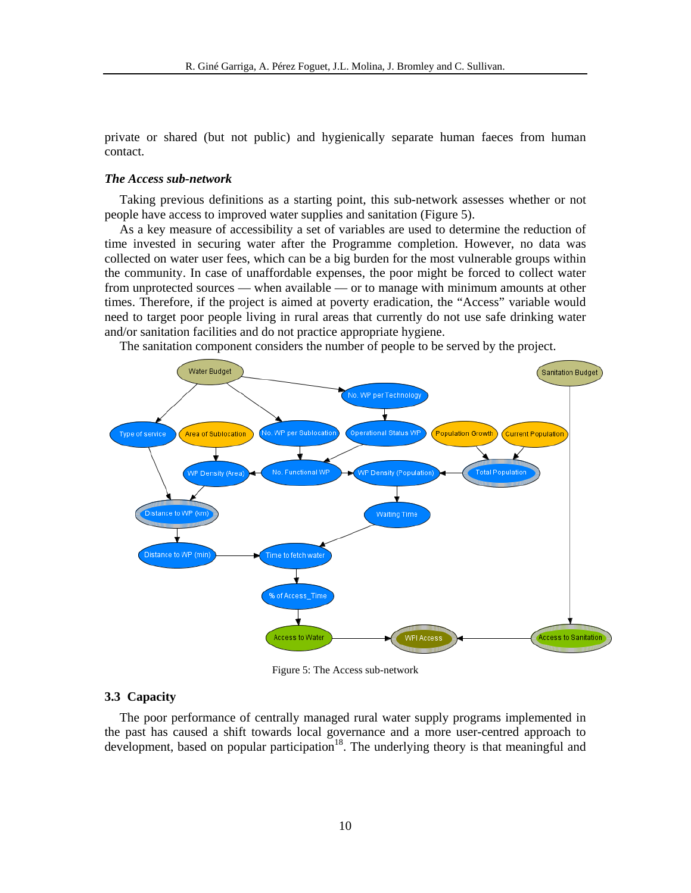private or shared (but not public) and hygienically separate human faeces from human contact.

# *The Access sub-network*

Taking previous definitions as a starting point, this sub-network assesses whether or not people have access to improved water supplies and sanitation (Figure 5).

As a key measure of accessibility a set of variables are used to determine the reduction of time invested in securing water after the Programme completion. However, no data was collected on water user fees, which can be a big burden for the most vulnerable groups within the community. In case of unaffordable expenses, the poor might be forced to collect water from unprotected sources — when available — or to manage with minimum amounts at other times. Therefore, if the project is aimed at poverty eradication, the "Access" variable would need to target poor people living in rural areas that currently do not use safe drinking water and/or sanitation facilities and do not practice appropriate hygiene.

The sanitation component considers the number of people to be served by the project.



Figure 5: The Access sub-network

# **3.3 Capacity**

The poor performance of centrally managed rural water supply programs implemented in the past has caused a shift towards local governance and a more user-centred approach to development, based on popular participation<sup>18</sup>. The underlying theory is that meaningful and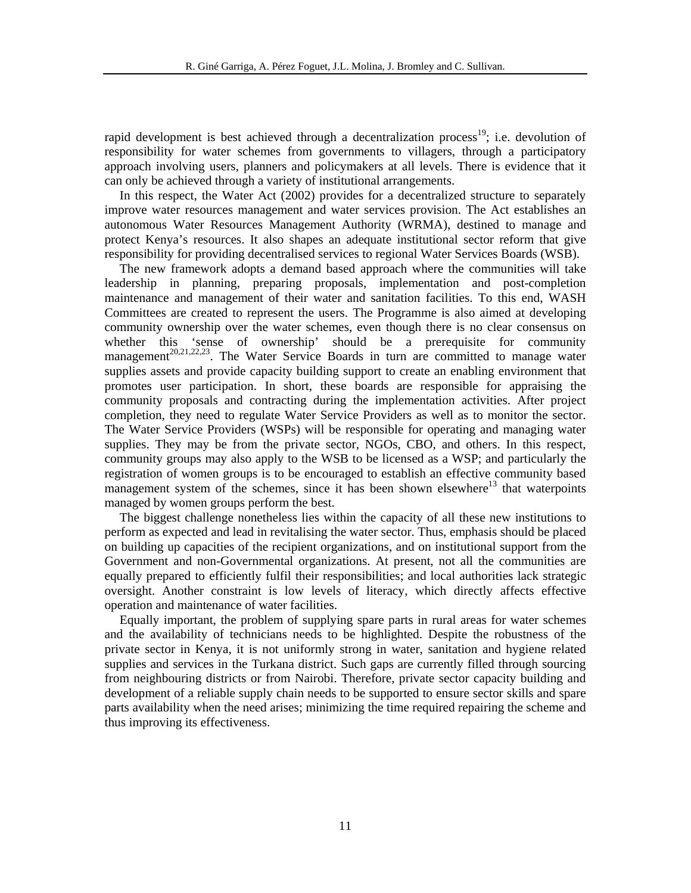rapid development is best achieved through a decentralization process<sup>19</sup>; i.e. devolution of responsibility for water schemes from governments to villagers, through a participatory approach involving users, planners and policymakers at all levels. There is evidence that it can only be achieved through a variety of institutional arrangements.

In this respect, the Water Act (2002) provides for a decentralized structure to separately improve water resources management and water services provision. The Act establishes an autonomous Water Resources Management Authority (WRMA), destined to manage and protect Kenya's resources. It also shapes an adequate institutional sector reform that give responsibility for providing decentralised services to regional Water Services Boards (WSB).

The new framework adopts a demand based approach where the communities will take leadership in planning, preparing proposals, implementation and post-completion maintenance and management of their water and sanitation facilities. To this end, WASH Committees are created to represent the users. The Programme is also aimed at developing community ownership over the water schemes, even though there is no clear consensus on whether this 'sense of ownership' should be a prerequisite for community management<sup>20,21,22,23</sup>. The Water Service Boards in turn are committed to manage water supplies assets and provide capacity building support to create an enabling environment that promotes user participation. In short, these boards are responsible for appraising the community proposals and contracting during the implementation activities. After project completion, they need to regulate Water Service Providers as well as to monitor the sector. The Water Service Providers (WSPs) will be responsible for operating and managing water supplies. They may be from the private sector, NGOs, CBO, and others. In this respect, community groups may also apply to the WSB to be licensed as a WSP; and particularly the registration of women groups is to be encouraged to establish an effective community based management system of the schemes, since it has been shown elsewhere<sup>13</sup> that waterpoints managed by women groups perform the best.

The biggest challenge nonetheless lies within the capacity of all these new institutions to perform as expected and lead in revitalising the water sector. Thus, emphasis should be placed on building up capacities of the recipient organizations, and on institutional support from the Government and non-Governmental organizations. At present, not all the communities are equally prepared to efficiently fulfil their responsibilities; and local authorities lack strategic oversight. Another constraint is low levels of literacy, which directly affects effective operation and maintenance of water facilities.

Equally important, the problem of supplying spare parts in rural areas for water schemes and the availability of technicians needs to be highlighted. Despite the robustness of the private sector in Kenya, it is not uniformly strong in water, sanitation and hygiene related supplies and services in the Turkana district. Such gaps are currently filled through sourcing from neighbouring districts or from Nairobi. Therefore, private sector capacity building and development of a reliable supply chain needs to be supported to ensure sector skills and spare parts availability when the need arises; minimizing the time required repairing the scheme and thus improving its effectiveness.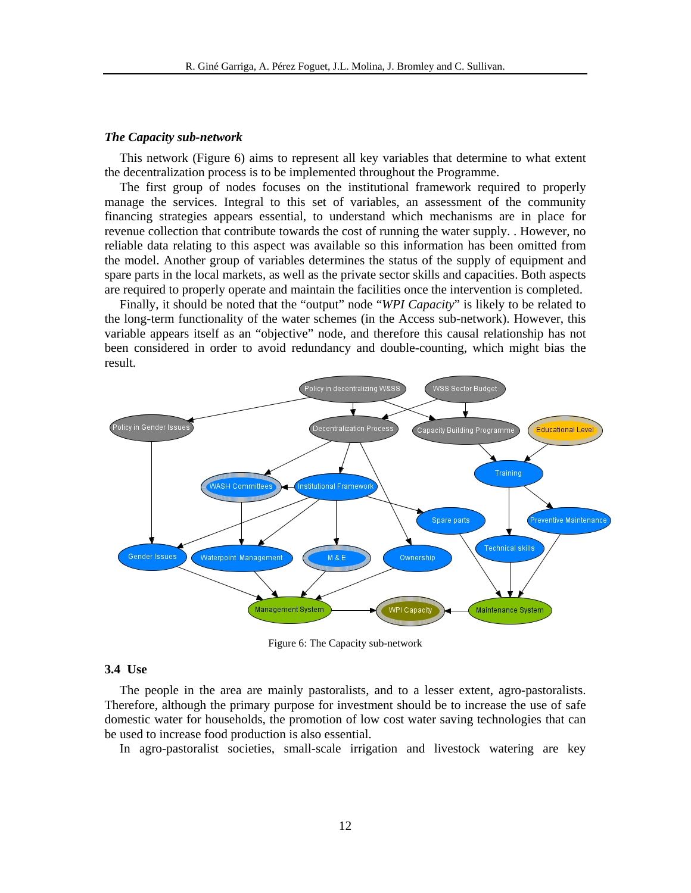#### *The Capacity sub-network*

This network (Figure 6) aims to represent all key variables that determine to what extent the decentralization process is to be implemented throughout the Programme.

The first group of nodes focuses on the institutional framework required to properly manage the services. Integral to this set of variables, an assessment of the community financing strategies appears essential, to understand which mechanisms are in place for revenue collection that contribute towards the cost of running the water supply. . However, no reliable data relating to this aspect was available so this information has been omitted from the model. Another group of variables determines the status of the supply of equipment and spare parts in the local markets, as well as the private sector skills and capacities. Both aspects are required to properly operate and maintain the facilities once the intervention is completed.

Finally, it should be noted that the "output" node "*WPI Capacity*" is likely to be related to the long-term functionality of the water schemes (in the Access sub-network). However, this variable appears itself as an "objective" node, and therefore this causal relationship has not been considered in order to avoid redundancy and double-counting, which might bias the result.



Figure 6: The Capacity sub-network

# **3.4 Use**

The people in the area are mainly pastoralists, and to a lesser extent, agro-pastoralists. Therefore, although the primary purpose for investment should be to increase the use of safe domestic water for households, the promotion of low cost water saving technologies that can be used to increase food production is also essential.

In agro-pastoralist societies, small-scale irrigation and livestock watering are key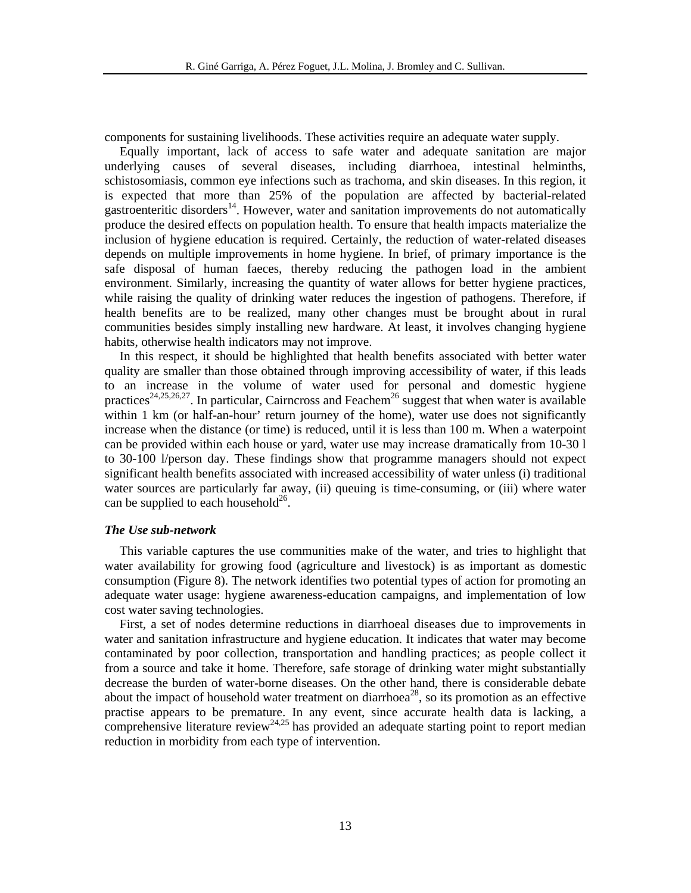components for sustaining livelihoods. These activities require an adequate water supply.

Equally important, lack of access to safe water and adequate sanitation are major underlying causes of several diseases, including diarrhoea, intestinal helminths, schistosomiasis, common eye infections such as trachoma, and skin diseases. In this region, it is expected that more than 25% of the population are affected by bacterial-related gastroenteritic disorders<sup>14</sup>. However, water and sanitation improvements do not automatically produce the desired effects on population health. To ensure that health impacts materialize the inclusion of hygiene education is required. Certainly, the reduction of water-related diseases depends on multiple improvements in home hygiene. In brief, of primary importance is the safe disposal of human faeces, thereby reducing the pathogen load in the ambient environment. Similarly, increasing the quantity of water allows for better hygiene practices, while raising the quality of drinking water reduces the ingestion of pathogens. Therefore, if health benefits are to be realized, many other changes must be brought about in rural communities besides simply installing new hardware. At least, it involves changing hygiene habits, otherwise health indicators may not improve.

In this respect, it should be highlighted that health benefits associated with better water quality are smaller than those obtained through improving accessibility of water, if this leads to an increase in the volume of water used for personal and domestic hygiene practices<sup>24,25,26,27</sup>. In particular, Cairncross and Feachem<sup>26</sup> suggest that when water is available within 1 km (or half-an-hour' return journey of the home), water use does not significantly increase when the distance (or time) is reduced, until it is less than 100 m. When a waterpoint can be provided within each house or yard, water use may increase dramatically from 10-30 l to 30-100 l/person day. These findings show that programme managers should not expect significant health benefits associated with increased accessibility of water unless (i) traditional water sources are particularly far away, (ii) queuing is time-consuming, or (iii) where water can be supplied to each household<sup>26</sup>.

#### *The Use sub-network*

This variable captures the use communities make of the water, and tries to highlight that water availability for growing food (agriculture and livestock) is as important as domestic consumption (Figure 8). The network identifies two potential types of action for promoting an adequate water usage: hygiene awareness-education campaigns, and implementation of low cost water saving technologies.

First, a set of nodes determine reductions in diarrhoeal diseases due to improvements in water and sanitation infrastructure and hygiene education. It indicates that water may become contaminated by poor collection, transportation and handling practices; as people collect it from a source and take it home. Therefore, safe storage of drinking water might substantially decrease the burden of water-borne diseases. On the other hand, there is considerable debate about the impact of household water treatment on diarrhoea<sup>28</sup>, so its promotion as an effective practise appears to be premature. In any event, since accurate health data is lacking, a comprehensive literature review<sup>24,25</sup> has provided an adequate starting point to report median reduction in morbidity from each type of intervention.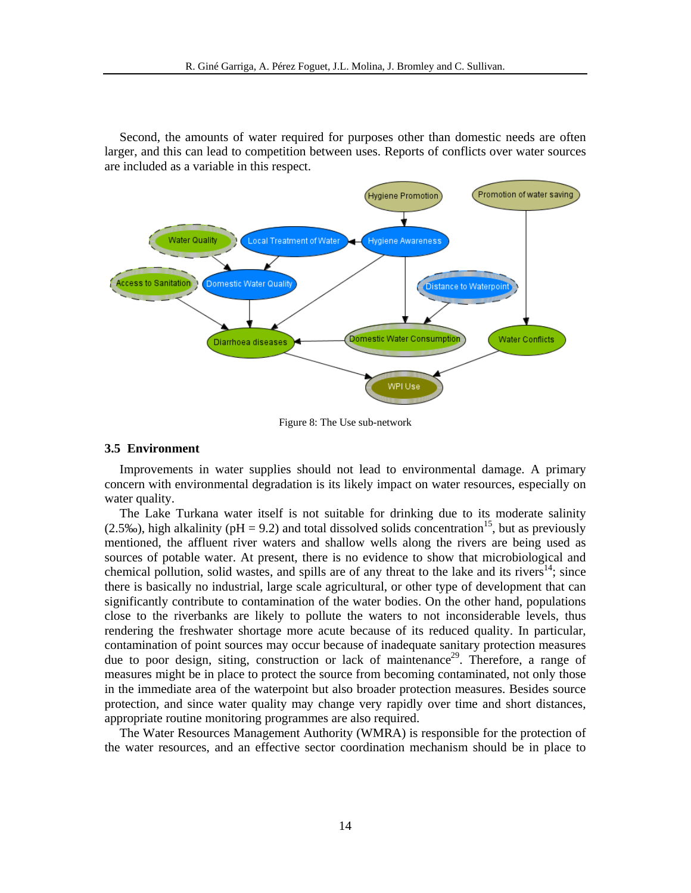Second, the amounts of water required for purposes other than domestic needs are often larger, and this can lead to competition between uses. Reports of conflicts over water sources are included as a variable in this respect.



Figure 8: The Use sub-network

# **3.5 Environment**

Improvements in water supplies should not lead to environmental damage. A primary concern with environmental degradation is its likely impact on water resources, especially on water quality.

The Lake Turkana water itself is not suitable for drinking due to its moderate salinity (2.5‰), high alkalinity ( $pH = 9.2$ ) and total dissolved solids concentration<sup>15</sup>, but as previously mentioned, the affluent river waters and shallow wells along the rivers are being used as sources of potable water. At present, there is no evidence to show that microbiological and chemical pollution, solid wastes, and spills are of any threat to the lake and its rivers<sup>14</sup>; since there is basically no industrial, large scale agricultural, or other type of development that can significantly contribute to contamination of the water bodies. On the other hand, populations close to the riverbanks are likely to pollute the waters to not inconsiderable levels, thus rendering the freshwater shortage more acute because of its reduced quality. In particular, contamination of point sources may occur because of inadequate sanitary protection measures due to poor design, siting, construction or lack of maintenance<sup>29</sup>. Therefore, a range of measures might be in place to protect the source from becoming contaminated, not only those in the immediate area of the waterpoint but also broader protection measures. Besides source protection, and since water quality may change very rapidly over time and short distances, appropriate routine monitoring programmes are also required.

The Water Resources Management Authority (WMRA) is responsible for the protection of the water resources, and an effective sector coordination mechanism should be in place to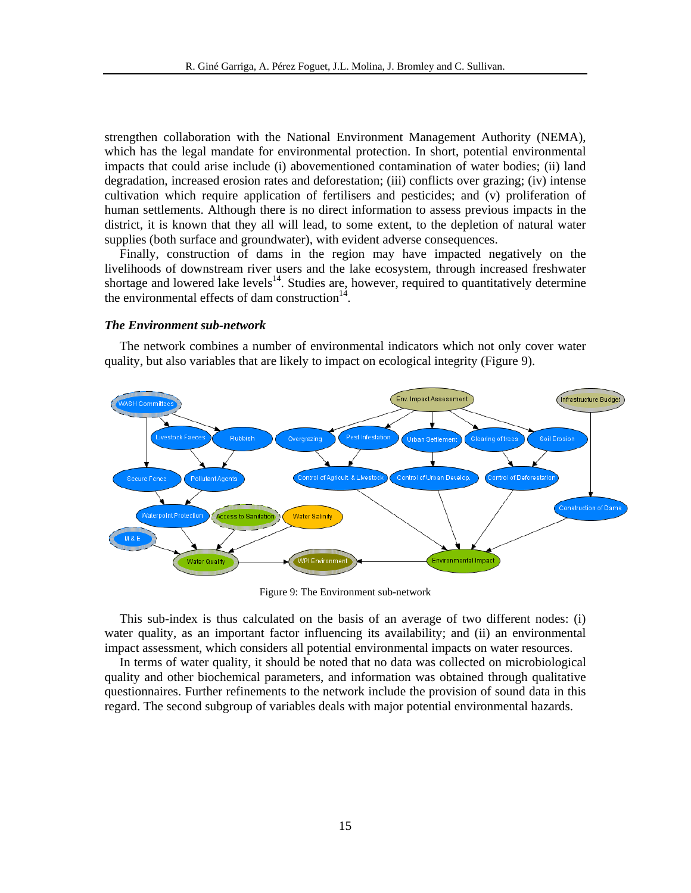strengthen collaboration with the National Environment Management Authority (NEMA), which has the legal mandate for environmental protection. In short, potential environmental impacts that could arise include (i) abovementioned contamination of water bodies; (ii) land degradation, increased erosion rates and deforestation; (iii) conflicts over grazing; (iv) intense cultivation which require application of fertilisers and pesticides; and (v) proliferation of human settlements. Although there is no direct information to assess previous impacts in the district, it is known that they all will lead, to some extent, to the depletion of natural water supplies (both surface and groundwater), with evident adverse consequences.

Finally, construction of dams in the region may have impacted negatively on the livelihoods of downstream river users and the lake ecosystem, through increased freshwater shortage and lowered lake levels $^{14}$ . Studies are, however, required to quantitatively determine the environmental effects of dam construction $14$ .

#### *The Environment sub-network*

The network combines a number of environmental indicators which not only cover water quality, but also variables that are likely to impact on ecological integrity (Figure 9).



Figure 9: The Environment sub-network

This sub-index is thus calculated on the basis of an average of two different nodes: (i) water quality, as an important factor influencing its availability; and (ii) an environmental impact assessment, which considers all potential environmental impacts on water resources.

In terms of water quality, it should be noted that no data was collected on microbiological quality and other biochemical parameters, and information was obtained through qualitative questionnaires. Further refinements to the network include the provision of sound data in this regard. The second subgroup of variables deals with major potential environmental hazards.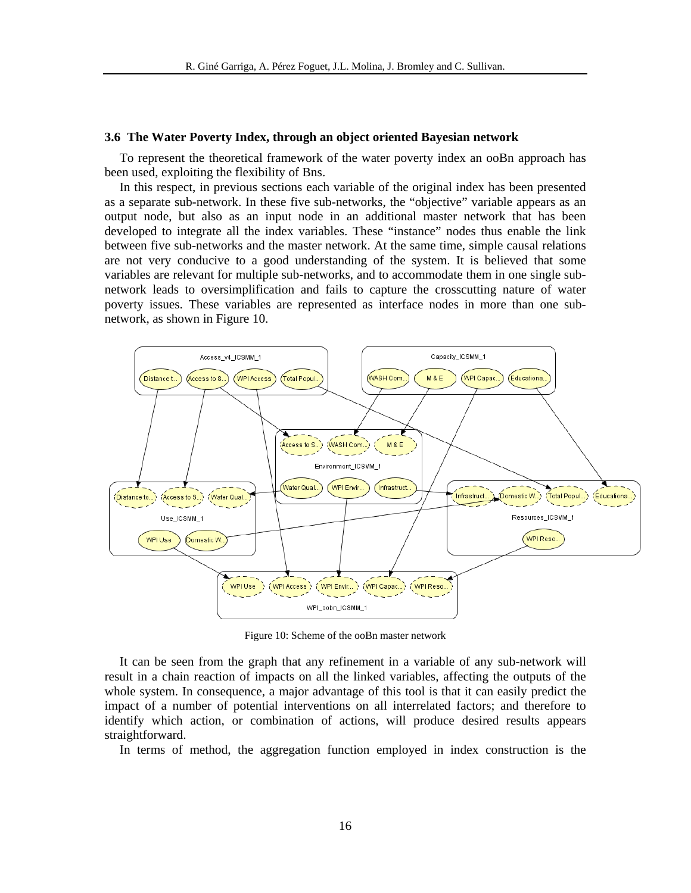#### **3.6 The Water Poverty Index, through an object oriented Bayesian network**

To represent the theoretical framework of the water poverty index an ooBn approach has been used, exploiting the flexibility of Bns.

In this respect, in previous sections each variable of the original index has been presented as a separate sub-network. In these five sub-networks, the "objective" variable appears as an output node, but also as an input node in an additional master network that has been developed to integrate all the index variables. These "instance" nodes thus enable the link between five sub-networks and the master network. At the same time, simple causal relations are not very conducive to a good understanding of the system. It is believed that some variables are relevant for multiple sub-networks, and to accommodate them in one single subnetwork leads to oversimplification and fails to capture the crosscutting nature of water poverty issues. These variables are represented as interface nodes in more than one subnetwork, as shown in Figure 10.



Figure 10: Scheme of the ooBn master network

It can be seen from the graph that any refinement in a variable of any sub-network will result in a chain reaction of impacts on all the linked variables, affecting the outputs of the whole system. In consequence, a major advantage of this tool is that it can easily predict the impact of a number of potential interventions on all interrelated factors; and therefore to identify which action, or combination of actions, will produce desired results appears straightforward.

In terms of method, the aggregation function employed in index construction is the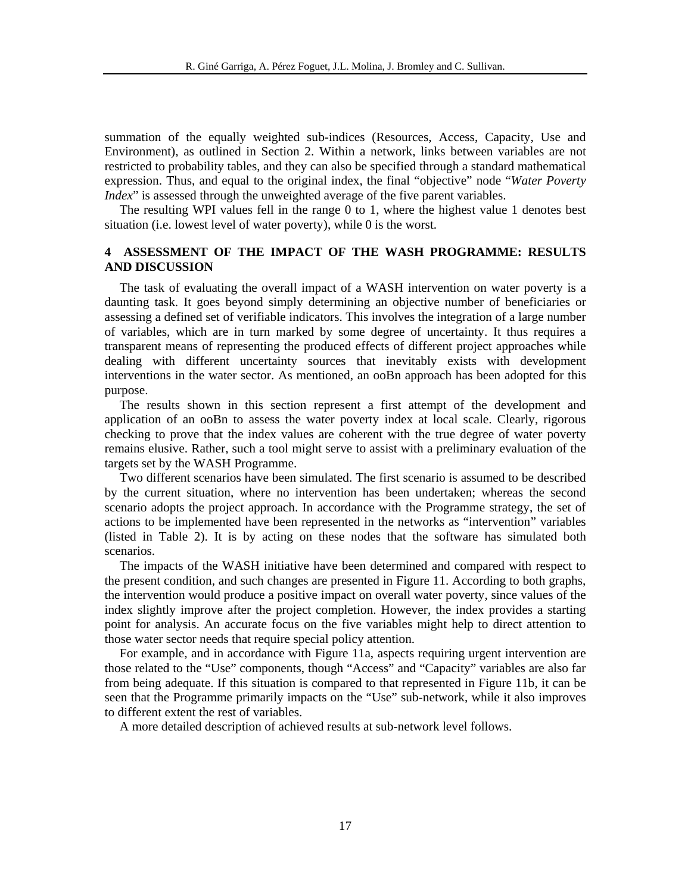summation of the equally weighted sub-indices (Resources, Access, Capacity, Use and Environment), as outlined in Section 2. Within a network, links between variables are not restricted to probability tables, and they can also be specified through a standard mathematical expression. Thus, and equal to the original index, the final "objective" node "*Water Poverty Index*" is assessed through the unweighted average of the five parent variables.

The resulting WPI values fell in the range 0 to 1, where the highest value 1 denotes best situation (i.e. lowest level of water poverty), while 0 is the worst.

# **4 ASSESSMENT OF THE IMPACT OF THE WASH PROGRAMME: RESULTS AND DISCUSSION**

The task of evaluating the overall impact of a WASH intervention on water poverty is a daunting task. It goes beyond simply determining an objective number of beneficiaries or assessing a defined set of verifiable indicators. This involves the integration of a large number of variables, which are in turn marked by some degree of uncertainty. It thus requires a transparent means of representing the produced effects of different project approaches while dealing with different uncertainty sources that inevitably exists with development interventions in the water sector. As mentioned, an ooBn approach has been adopted for this purpose.

The results shown in this section represent a first attempt of the development and application of an ooBn to assess the water poverty index at local scale. Clearly, rigorous checking to prove that the index values are coherent with the true degree of water poverty remains elusive. Rather, such a tool might serve to assist with a preliminary evaluation of the targets set by the WASH Programme.

Two different scenarios have been simulated. The first scenario is assumed to be described by the current situation, where no intervention has been undertaken; whereas the second scenario adopts the project approach. In accordance with the Programme strategy, the set of actions to be implemented have been represented in the networks as "intervention" variables (listed in Table 2). It is by acting on these nodes that the software has simulated both scenarios.

The impacts of the WASH initiative have been determined and compared with respect to the present condition, and such changes are presented in Figure 11. According to both graphs, the intervention would produce a positive impact on overall water poverty, since values of the index slightly improve after the project completion. However, the index provides a starting point for analysis. An accurate focus on the five variables might help to direct attention to those water sector needs that require special policy attention.

For example, and in accordance with Figure 11a, aspects requiring urgent intervention are those related to the "Use" components, though "Access" and "Capacity" variables are also far from being adequate. If this situation is compared to that represented in Figure 11b, it can be seen that the Programme primarily impacts on the "Use" sub-network, while it also improves to different extent the rest of variables.

A more detailed description of achieved results at sub-network level follows.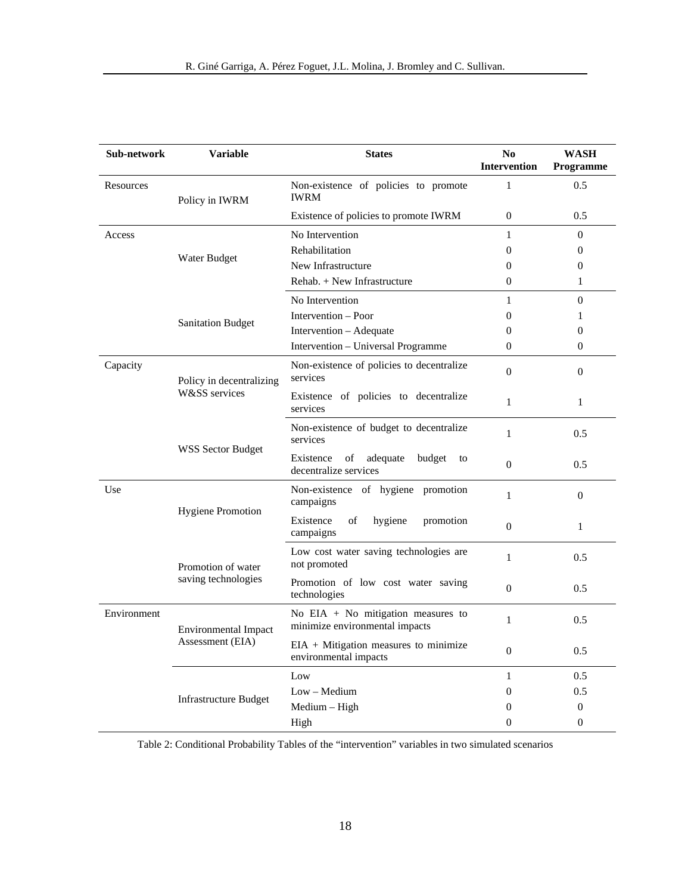| Sub-network       | Variable                                  | <b>States</b>                                                          | N <sub>0</sub><br><b>Intervention</b> | <b>WASH</b><br><b>Programme</b> |
|-------------------|-------------------------------------------|------------------------------------------------------------------------|---------------------------------------|---------------------------------|
| Resources         | Policy in IWRM                            | Non-existence of policies to promote<br><b>IWRM</b>                    | 1                                     | 0.5                             |
|                   |                                           | Existence of policies to promote IWRM                                  | $\mathbf{0}$                          | 0.5                             |
| Access            |                                           | No Intervention                                                        | 1                                     | $\Omega$                        |
|                   |                                           | Rehabilitation                                                         | $\Omega$                              | $\Omega$                        |
|                   | Water Budget                              | New Infrastructure                                                     | $\Omega$                              | $\Omega$                        |
|                   |                                           | Rehab. + New Infrastructure                                            | $\mathbf{0}$                          | 1                               |
|                   | <b>Sanitation Budget</b>                  | No Intervention                                                        | $\mathbf{1}$                          | $\boldsymbol{0}$                |
|                   |                                           | Intervention - Poor                                                    | $\Omega$                              | 1                               |
|                   |                                           | Intervention – Adequate                                                | $\Omega$                              | $\Omega$                        |
|                   |                                           | Intervention - Universal Programme                                     | $\Omega$                              | $\theta$                        |
| Capacity          | Policy in decentralizing<br>W&SS services | Non-existence of policies to decentralize<br>services                  | $\Omega$                              | $\Omega$                        |
|                   |                                           | Existence of policies to decentralize<br>services                      | $\mathbf{1}$                          | $\mathbf{1}$                    |
| WSS Sector Budget |                                           | Non-existence of budget to decentralize<br>services                    | $\mathbf{1}$                          | 0.5                             |
|                   |                                           | adequate<br>Existence<br>of<br>budget<br>to<br>decentralize services   | $\boldsymbol{0}$                      | 0.5                             |
| Use               | <b>Hygiene Promotion</b>                  | Non-existence of hygiene promotion<br>campaigns                        | $\mathbf{1}$                          | $\Omega$                        |
|                   |                                           | Existence<br>hygiene<br>of<br>promotion<br>campaigns                   | $\boldsymbol{0}$                      | $\mathbf{1}$                    |
|                   | Promotion of water<br>saving technologies | Low cost water saving technologies are<br>not promoted                 | $\mathbf{1}$                          | 0.5                             |
|                   |                                           | Promotion of low cost water saving<br>technologies                     | $\boldsymbol{0}$                      | 0.5                             |
| Environment       | Environmental Impact<br>Assessment (EIA)  | No EIA $+$ No mitigation measures to<br>minimize environmental impacts | $\mathbf{1}$                          | 0.5                             |
|                   |                                           | $EIA + Mitigation measures to minimize$<br>environmental impacts       | $\overline{0}$                        | 0.5                             |
|                   | <b>Infrastructure Budget</b>              | Low                                                                    | $\mathbf{1}$                          | 0.5                             |
|                   |                                           | $Low - Medium$                                                         | $\overline{0}$                        | 0.5                             |
|                   |                                           | Medium - High                                                          | $\theta$                              | $\boldsymbol{0}$                |
|                   |                                           | High                                                                   | $\overline{0}$                        | $\theta$                        |

Table 2: Conditional Probability Tables of the "intervention" variables in two simulated scenarios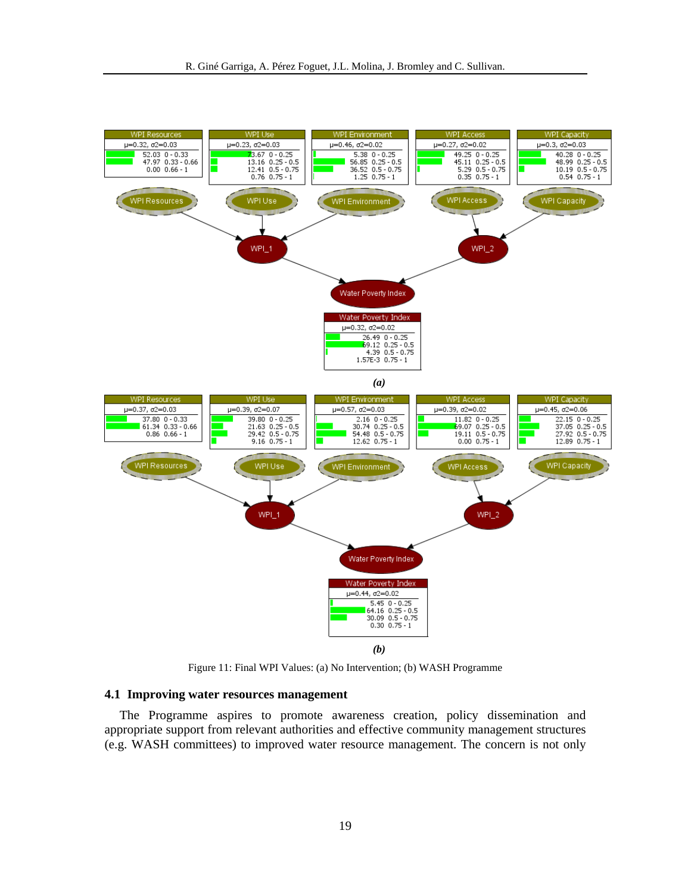

Figure 11: Final WPI Values: (a) No Intervention; (b) WASH Programme

# **4.1 Improving water resources management**

The Programme aspires to promote awareness creation, policy dissemination and appropriate support from relevant authorities and effective community management structures (e.g. WASH committees) to improved water resource management. The concern is not only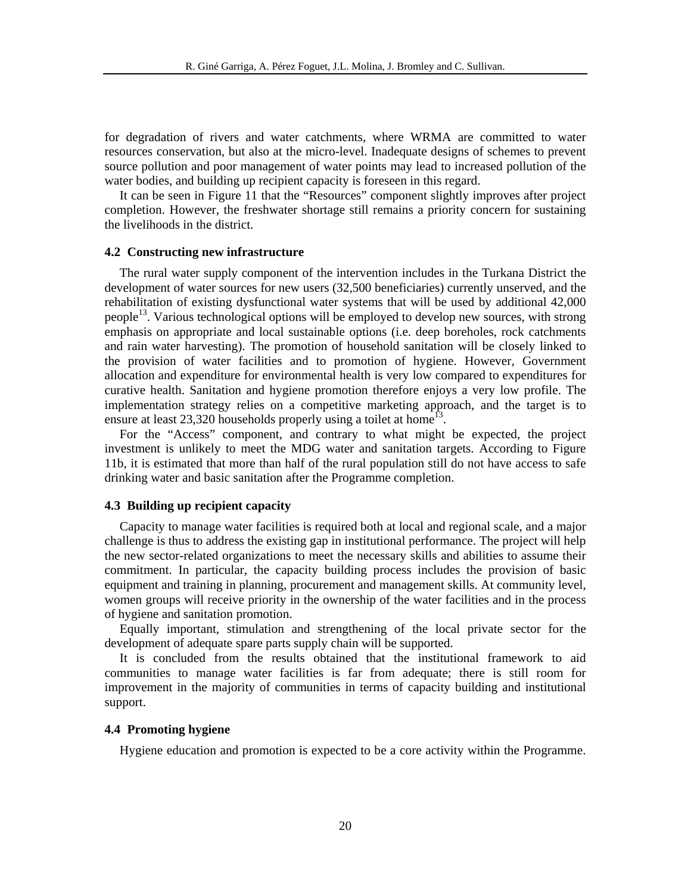for degradation of rivers and water catchments, where WRMA are committed to water resources conservation, but also at the micro-level. Inadequate designs of schemes to prevent source pollution and poor management of water points may lead to increased pollution of the water bodies, and building up recipient capacity is foreseen in this regard.

It can be seen in Figure 11 that the "Resources" component slightly improves after project completion. However, the freshwater shortage still remains a priority concern for sustaining the livelihoods in the district.

#### **4.2 Constructing new infrastructure**

The rural water supply component of the intervention includes in the Turkana District the development of water sources for new users (32,500 beneficiaries) currently unserved, and the rehabilitation of existing dysfunctional water systems that will be used by additional 42,000 people<sup>13</sup>. Various technological options will be employed to develop new sources, with strong emphasis on appropriate and local sustainable options (i.e. deep boreholes, rock catchments and rain water harvesting). The promotion of household sanitation will be closely linked to the provision of water facilities and to promotion of hygiene. However, Government allocation and expenditure for environmental health is very low compared to expenditures for curative health. Sanitation and hygiene promotion therefore enjoys a very low profile. The implementation strategy relies on a competitive marketing approach, and the target is to ensure at least  $23,320$  households properly using a toilet at home<sup>13</sup>.

For the "Access" component, and contrary to what might be expected, the project investment is unlikely to meet the MDG water and sanitation targets. According to Figure 11b, it is estimated that more than half of the rural population still do not have access to safe drinking water and basic sanitation after the Programme completion.

#### **4.3 Building up recipient capacity**

Capacity to manage water facilities is required both at local and regional scale, and a major challenge is thus to address the existing gap in institutional performance. The project will help the new sector-related organizations to meet the necessary skills and abilities to assume their commitment. In particular, the capacity building process includes the provision of basic equipment and training in planning, procurement and management skills. At community level, women groups will receive priority in the ownership of the water facilities and in the process of hygiene and sanitation promotion.

Equally important, stimulation and strengthening of the local private sector for the development of adequate spare parts supply chain will be supported.

It is concluded from the results obtained that the institutional framework to aid communities to manage water facilities is far from adequate; there is still room for improvement in the majority of communities in terms of capacity building and institutional support.

# **4.4 Promoting hygiene**

Hygiene education and promotion is expected to be a core activity within the Programme.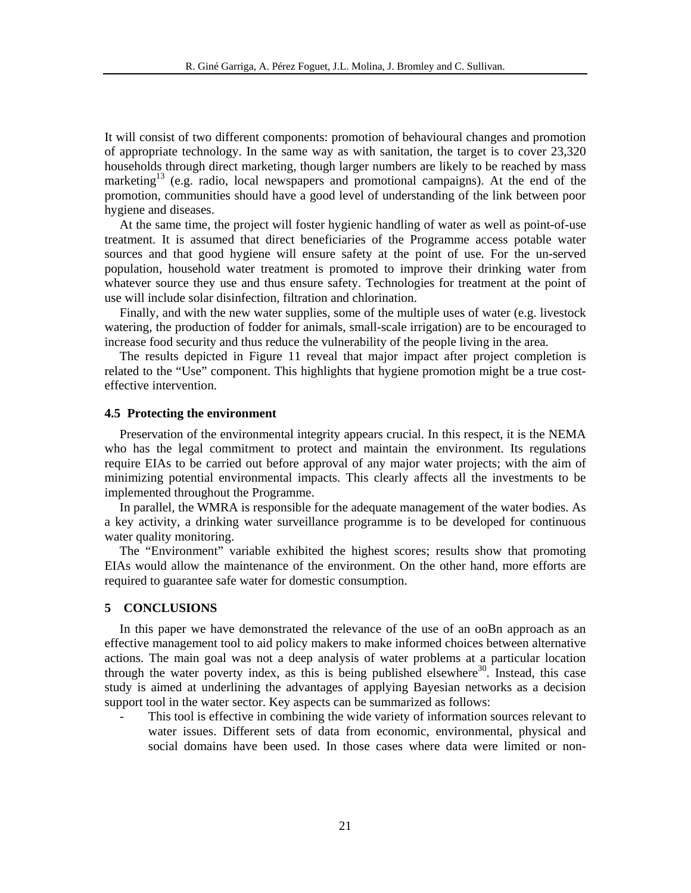It will consist of two different components: promotion of behavioural changes and promotion of appropriate technology. In the same way as with sanitation, the target is to cover 23,320 households through direct marketing, though larger numbers are likely to be reached by mass marketing<sup>13</sup> (e.g. radio, local newspapers and promotional campaigns). At the end of the promotion, communities should have a good level of understanding of the link between poor hygiene and diseases.

At the same time, the project will foster hygienic handling of water as well as point-of-use treatment. It is assumed that direct beneficiaries of the Programme access potable water sources and that good hygiene will ensure safety at the point of use. For the un-served population, household water treatment is promoted to improve their drinking water from whatever source they use and thus ensure safety. Technologies for treatment at the point of use will include solar disinfection, filtration and chlorination.

Finally, and with the new water supplies, some of the multiple uses of water (e.g. livestock watering, the production of fodder for animals, small-scale irrigation) are to be encouraged to increase food security and thus reduce the vulnerability of the people living in the area.

The results depicted in Figure 11 reveal that major impact after project completion is related to the "Use" component. This highlights that hygiene promotion might be a true costeffective intervention.

#### **4.5 Protecting the environment**

Preservation of the environmental integrity appears crucial. In this respect, it is the NEMA who has the legal commitment to protect and maintain the environment. Its regulations require EIAs to be carried out before approval of any major water projects; with the aim of minimizing potential environmental impacts. This clearly affects all the investments to be implemented throughout the Programme.

In parallel, the WMRA is responsible for the adequate management of the water bodies. As a key activity, a drinking water surveillance programme is to be developed for continuous water quality monitoring.

The "Environment" variable exhibited the highest scores; results show that promoting EIAs would allow the maintenance of the environment. On the other hand, more efforts are required to guarantee safe water for domestic consumption.

# **5 CONCLUSIONS**

In this paper we have demonstrated the relevance of the use of an ooBn approach as an effective management tool to aid policy makers to make informed choices between alternative actions. The main goal was not a deep analysis of water problems at a particular location through the water poverty index, as this is being published elsewhere $30$ . Instead, this case study is aimed at underlining the advantages of applying Bayesian networks as a decision support tool in the water sector. Key aspects can be summarized as follows:

This tool is effective in combining the wide variety of information sources relevant to water issues. Different sets of data from economic, environmental, physical and social domains have been used. In those cases where data were limited or non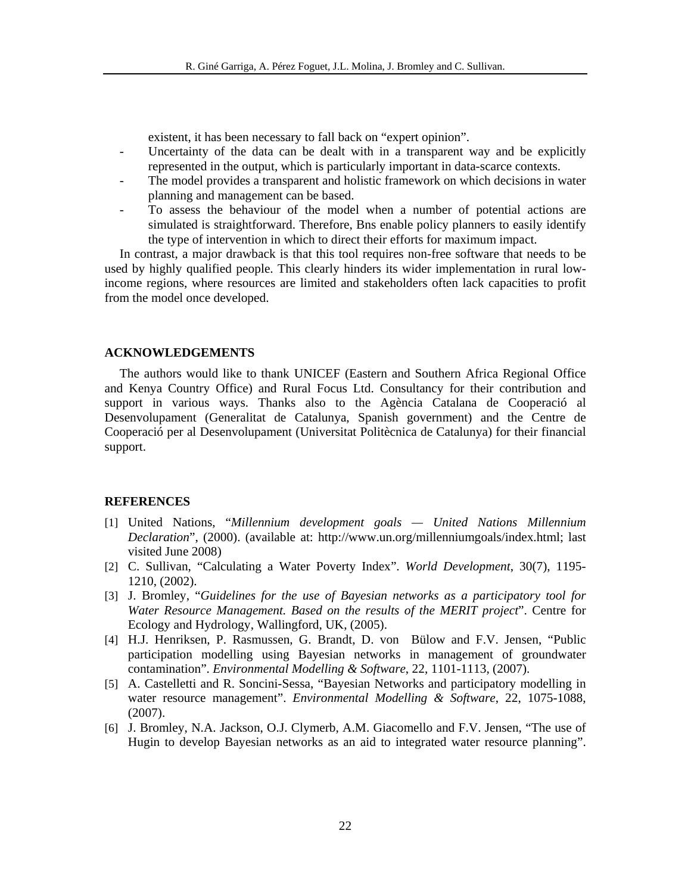existent, it has been necessary to fall back on "expert opinion".

- Uncertainty of the data can be dealt with in a transparent way and be explicitly represented in the output, which is particularly important in data-scarce contexts.
- The model provides a transparent and holistic framework on which decisions in water planning and management can be based.
- To assess the behaviour of the model when a number of potential actions are simulated is straightforward. Therefore, Bns enable policy planners to easily identify the type of intervention in which to direct their efforts for maximum impact.

In contrast, a major drawback is that this tool requires non-free software that needs to be used by highly qualified people. This clearly hinders its wider implementation in rural lowincome regions, where resources are limited and stakeholders often lack capacities to profit from the model once developed.

# **ACKNOWLEDGEMENTS**

The authors would like to thank UNICEF (Eastern and Southern Africa Regional Office and Kenya Country Office) and Rural Focus Ltd. Consultancy for their contribution and support in various ways. Thanks also to the Agència Catalana de Cooperació al Desenvolupament (Generalitat de Catalunya, Spanish government) and the Centre de Cooperació per al Desenvolupament (Universitat Politècnica de Catalunya) for their financial support.

# **REFERENCES**

- [1] United Nations, "*Millennium development goals United Nations Millennium Declaration*", (2000). (available at: http://www.un.org/millenniumgoals/index.html; last visited June 2008)
- [2] C. Sullivan, "Calculating a Water Poverty Index". *World Development*, 30(7), 1195- 1210, (2002).
- [3] J. Bromley, "*Guidelines for the use of Bayesian networks as a participatory tool for Water Resource Management. Based on the results of the MERIT project*". Centre for Ecology and Hydrology, Wallingford, UK, (2005).
- [4] H.J. Henriksen, P. Rasmussen, G. Brandt, D. von Bülow and F.V. Jensen, "Public participation modelling using Bayesian networks in management of groundwater contamination". *Environmental Modelling & Software*, 22, 1101-1113, (2007).
- [5] A. Castelletti and R. Soncini-Sessa, "Bayesian Networks and participatory modelling in water resource management". *Environmental Modelling & Software*, 22, 1075-1088, (2007).
- [6] J. Bromley, N.A. Jackson, O.J. Clymerb, A.M. Giacomello and F.V. Jensen, "The use of Hugin to develop Bayesian networks as an aid to integrated water resource planning".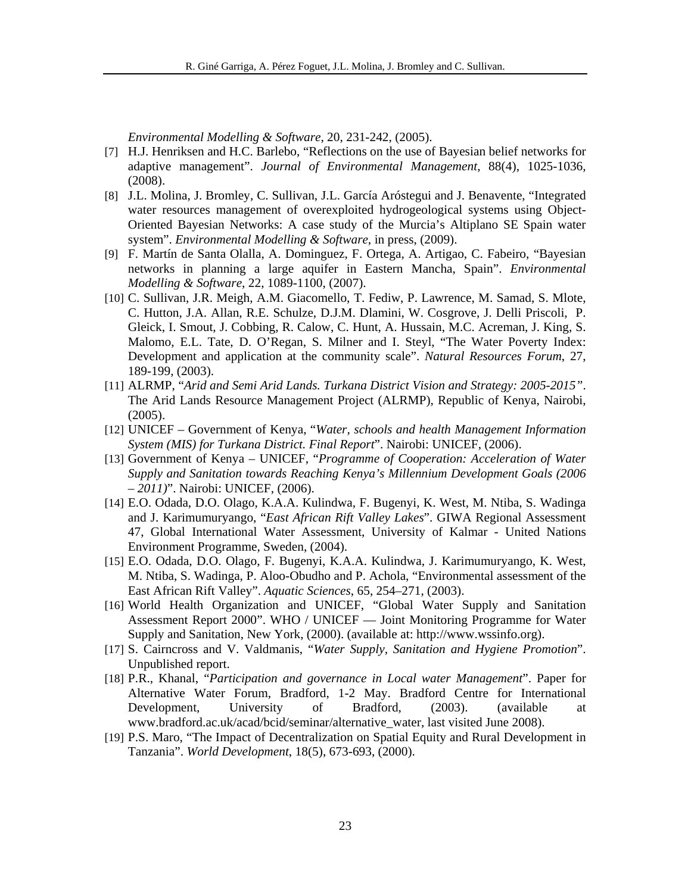*Environmental Modelling & Software*, 20, 231-242, (2005).

- [7] H.J. Henriksen and H.C. Barlebo, "Reflections on the use of Bayesian belief networks for adaptive management". *Journal of Environmental Management*, 88(4), 1025-1036, (2008).
- [8] J.L. Molina, J. Bromley, C. Sullivan, J.L. García Aróstegui and J. Benavente, "Integrated water resources management of overexploited hydrogeological systems using Object-Oriented Bayesian Networks: A case study of the Murcia's Altiplano SE Spain water system". *Environmental Modelling & Software*, in press, (2009).
- [9] F. Martín de Santa Olalla, A. Dominguez, F. Ortega, A. Artigao, C. Fabeiro, "Bayesian networks in planning a large aquifer in Eastern Mancha, Spain". *Environmental Modelling & Software*, 22, 1089-1100, (2007).
- [10] C. Sullivan, J.R. Meigh, A.M. Giacomello, T. Fediw, P. Lawrence, M. Samad, S. Mlote, C. Hutton, J.A. Allan, R.E. Schulze, D.J.M. Dlamini, W. Cosgrove, J. Delli Priscoli, P. Gleick, I. Smout, J. Cobbing, R. Calow, C. Hunt, A. Hussain, M.C. Acreman, J. King, S. Malomo, E.L. Tate, D. O'Regan, S. Milner and I. Steyl, "The Water Poverty Index: Development and application at the community scale". *Natural Resources Forum*, 27, 189-199, (2003).
- [11] ALRMP, "*Arid and Semi Arid Lands. Turkana District Vision and Strategy: 2005-2015"*. The Arid Lands Resource Management Project (ALRMP), Republic of Kenya, Nairobi, (2005).
- [12] UNICEF Government of Kenya, "*Water, schools and health Management Information System (MIS) for Turkana District. Final Report*". Nairobi: UNICEF, (2006).
- [13] Government of Kenya UNICEF, "*Programme of Cooperation: Acceleration of Water Supply and Sanitation towards Reaching Kenya's Millennium Development Goals (2006 – 2011)*". Nairobi: UNICEF, (2006).
- [14] E.O. Odada, D.O. Olago, K.A.A. Kulindwa, F. Bugenyi, K. West, M. Ntiba, S. Wadinga and J. Karimumuryango, "*East African Rift Valley Lakes*". GIWA Regional Assessment 47, Global International Water Assessment, University of Kalmar - United Nations Environment Programme, Sweden, (2004).
- [15] E.O. Odada, D.O. Olago, F. Bugenyi, K.A.A. Kulindwa, J. Karimumuryango, K. West, M. Ntiba, S. Wadinga, P. Aloo-Obudho and P. Achola, "Environmental assessment of the East African Rift Valley". *Aquatic Sciences*, 65, 254–271, (2003).
- [16] World Health Organization and UNICEF, "Global Water Supply and Sanitation Assessment Report 2000". WHO / UNICEF — Joint Monitoring Programme for Water Supply and Sanitation, New York, (2000). (available at: http://www.wssinfo.org).
- [17] S. Cairncross and V. Valdmanis, "*Water Supply, Sanitation and Hygiene Promotion*". Unpublished report.
- [18] P.R., Khanal, "*Participation and governance in Local water Management*". Paper for Alternative Water Forum, Bradford, 1-2 May. Bradford Centre for International Development, University of Bradford, (2003). (available at www.bradford.ac.uk/acad/bcid/seminar/alternative\_water, last visited June 2008).
- [19] P.S. Maro, "The Impact of Decentralization on Spatial Equity and Rural Development in Tanzania". *World Development*, 18(5), 673-693, (2000).